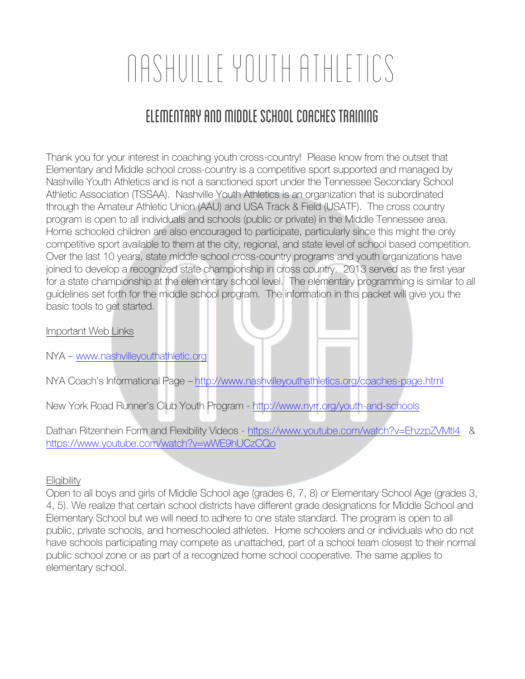# Nashville Youth Athletics

# Elementary and middle school coaches training

Thank you for your interest in coaching youth cross-country! Please know from the outset that Elementary and Middle school cross-country is a competitive sport supported and managed by Nashville Youth Athletics and is not a sanctioned sport under the Tennessee Secondary School Athletic Association (TSSAA). Nashville Youth Athletics is an organization that is subordinated through the Amateur Athletic Union (AAU) and USA Track & Field (USATF). The cross country program is open to all individuals and schools (public or private) in the Middle Tennessee area. Home schooled children are also encouraged to participate, particularly since this might the only competitive sport available to them at the city, regional, and state level of school based competition. Over the last 10 years, state middle school cross-country programs and youth organizations have joined to develop a recognized state championship in cross country. 2013 served as the first year for a state championship at the elementary school level. The elementary programming is similar to all guidelines set forth for the middle school program. The information in this packet will give you the basic tools to get started.

Important Web Links

NYA – www.nashvilleyouthathletic.org

NYA Coach's Informational Page – http://www.nashvilleyouthathletics.org/coaches-page.html

New York Road Runner's Club Youth Program - http://www.nyrr.org/youth-and-schools

Dathan Ritzenhein Form and Flexibility Videos - https://www.youtube.com/watch?v=EhzzpZVMtl4 & https://www.youtube.com/watch?v=wWE9hUCzCQo

# **Eligibility**

Open to all boys and girls of Middle School age (grades 6, 7, 8) or Elementary School Age (grades 3, 4, 5). We realize that certain school districts have different grade designations for Middle School and Elementary School but we will need to adhere to one state standard. The program is open to all public, private schools, and homeschooled athletes. Home schoolers and or individuals who do not have schools participating may compete as unattached, part of a school team closest to their normal public school zone or as part of a recognized home school cooperative. The same applies to elementary school.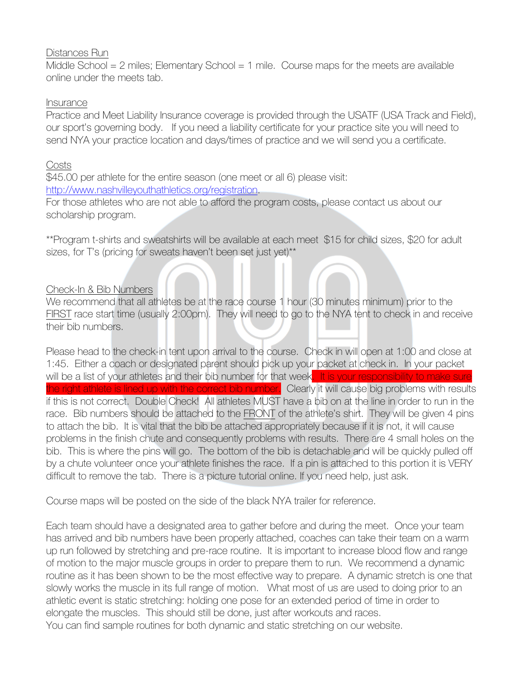# Distances Run

Middle School  $= 2$  miles; Elementary School  $= 1$  mile. Course maps for the meets are available online under the meets tab.

# Insurance

Practice and Meet Liability Insurance coverage is provided through the USATF (USA Track and Field), our sport's governing body. If you need a liability certificate for your practice site you will need to send NYA your practice location and days/times of practice and we will send you a certificate.

## Costs

\$45.00 per athlete for the entire season (one meet or all 6) please visit: http://www.nashvilleyouthathletics.org/registration.

For those athletes who are not able to afford the program costs, please contact us about our scholarship program.

\*\*Program t-shirts and sweatshirts will be available at each meet \$15 for child sizes, \$20 for adult sizes, for T's (pricing for sweats haven't been set just yet)<sup>\*\*</sup>

# Check-In & Bib Numbers

We recommend that all athletes be at the race course 1 hour (30 minutes minimum) prior to the FIRST race start time (usually 2:00pm). They will need to go to the NYA tent to check in and receive their bib numbers.

Please head to the check-in tent upon arrival to the course. Check in will open at 1:00 and close at 1:45. Either a coach or designated parent should pick up your packet at check in. In your packet will be a list of your athletes and their bib number for that week. It is your responsibility to make sure the right athlete is lined up with the correct bib number. Clearly it will cause big problems with results if this is not correct. Double Check! All athletes MUST have a bib on at the line in order to run in the race. Bib numbers should be attached to the FRONT of the athlete's shirt. They will be given 4 pins to attach the bib. It is vital that the bib be attached appropriately because if it is not, it will cause problems in the finish chute and consequently problems with results. There are 4 small holes on the bib. This is where the pins will go. The bottom of the bib is detachable and will be quickly pulled off by a chute volunteer once your athlete finishes the race. If a pin is attached to this portion it is VERY difficult to remove the tab. There is a picture tutorial online. If you need help, just ask.

Course maps will be posted on the side of the black NYA trailer for reference.

Each team should have a designated area to gather before and during the meet. Once your team has arrived and bib numbers have been properly attached, coaches can take their team on a warm up run followed by stretching and pre-race routine. It is important to increase blood flow and range of motion to the major muscle groups in order to prepare them to run. We recommend a dynamic routine as it has been shown to be the most effective way to prepare. A dynamic stretch is one that slowly works the muscle in its full range of motion. What most of us are used to doing prior to an athletic event is static stretching: holding one pose for an extended period of time in order to elongate the muscles. This should still be done, just after workouts and races. You can find sample routines for both dynamic and static stretching on our website.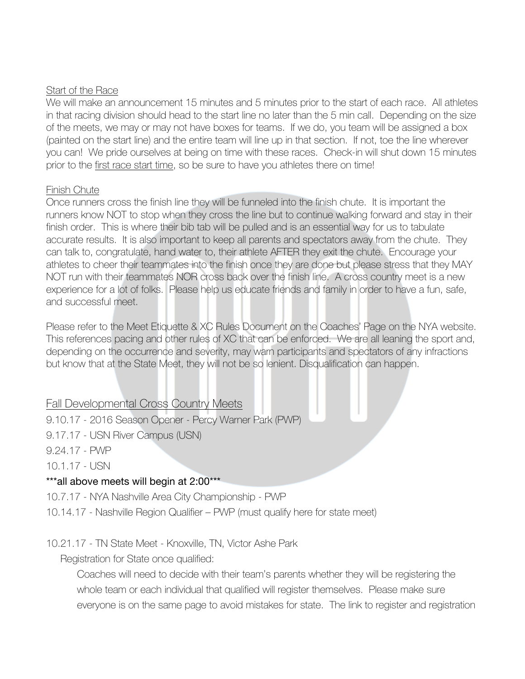#### Start of the Race

We will make an announcement 15 minutes and 5 minutes prior to the start of each race. All athletes in that racing division should head to the start line no later than the 5 min call. Depending on the size of the meets, we may or may not have boxes for teams. If we do, you team will be assigned a box (painted on the start line) and the entire team will line up in that section. If not, toe the line wherever you can! We pride ourselves at being on time with these races. Check-in will shut down 15 minutes prior to the first race start time, so be sure to have you athletes there on time!

#### Finish Chute

Once runners cross the finish line they will be funneled into the finish chute. It is important the runners know NOT to stop when they cross the line but to continue walking forward and stay in their finish order. This is where their bib tab will be pulled and is an essential way for us to tabulate accurate results. It is also important to keep all parents and spectators away from the chute. They can talk to, congratulate, hand water to, their athlete AFTER they exit the chute. Encourage your athletes to cheer their teammates into the finish once they are done but please stress that they MAY NOT run with their teammates NOR cross back over the finish line. A cross country meet is a new experience for a lot of folks. Please help us educate friends and family in order to have a fun, safe, and successful meet.

Please refer to the Meet Etiquette & XC Rules Document on the Coaches' Page on the NYA website. This references pacing and other rules of XC that can be enforced. We are all leaning the sport and, depending on the occurrence and severity, may warn participants and spectators of any infractions but know that at the State Meet, they will not be so lenient. Disqualification can happen.

# Fall Developmental Cross Country Meets

9.10.17 - 2016 Season Opener - Percy Warner Park (PWP)

9.17.17 - USN River Campus (USN)

9.24.17 - PWP

10.1.17 - USN

# \*\*\*all above meets will begin at 2:00\*\*\*

10.7.17 - NYA Nashville Area City Championship - PWP

10.14.17 - Nashville Region Qualifier – PWP (must qualify here for state meet)

# 10.21.17 - TN State Meet - Knoxville, TN, Victor Ashe Park

Registration for State once qualified:

Coaches will need to decide with their team's parents whether they will be registering the whole team or each individual that qualified will register themselves. Please make sure everyone is on the same page to avoid mistakes for state. The link to register and registration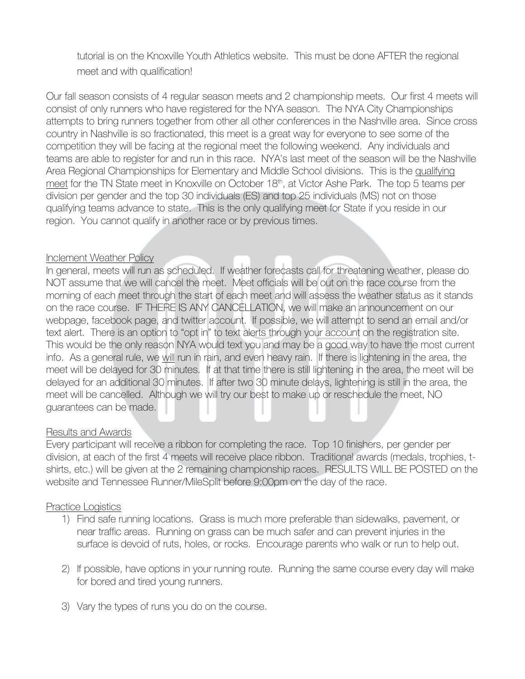tutorial is on the Knoxville Youth Athletics website. This must be done AFTER the regional meet and with qualification!

Our fall season consists of 4 regular season meets and 2 championship meets. Our first 4 meets will consist of only runners who have registered for the NYA season. The NYA City Championships attempts to bring runners together from other all other conferences in the Nashville area. Since cross country in Nashville is so fractionated, this meet is a great way for everyone to see some of the competition they will be facing at the regional meet the following weekend. Any individuals and teams are able to register for and run in this race. NYA's last meet of the season will be the Nashville Area Regional Championships for Elementary and Middle School divisions. This is the qualifying meet for the TN State meet in Knoxville on October 18<sup>th</sup>, at Victor Ashe Park. The top 5 teams per division per gender and the top 30 individuals (ES) and top 25 individuals (MS) not on those qualifying teams advance to state. This is the only qualifying meet for State if you reside in our region. You cannot qualify in another race or by previous times.

#### Inclement Weather Policy

In general, meets will run as scheduled. If weather forecasts call for threatening weather, please do NOT assume that we will cancel the meet. Meet officials will be out on the race course from the morning of each meet through the start of each meet and will assess the weather status as it stands on the race course. IF THERE IS ANY CANCELLATION, we will make an announcement on our webpage, facebook page, and twitter account. If possible, we will attempt to send an email and/or text alert. There is an option to "opt in" to text alerts through your account on the registration site. This would be the only reason NYA would text you and may be a good way to have the most current info. As a general rule, we will run in rain, and even heavy rain. If there is lightening in the area, the meet will be delayed for 30 minutes. If at that time there is still lightening in the area, the meet will be delayed for an additional 30 minutes. If after two 30 minute delays, lightening is still in the area, the meet will be cancelled. Although we will try our best to make up or reschedule the meet, NO guarantees can be made.

#### Results and Awards

Every participant will receive a ribbon for completing the race. Top 10 finishers, per gender per division, at each of the first 4 meets will receive place ribbon. Traditional awards (medals, trophies, tshirts, etc.) will be given at the 2 remaining championship races. RESULTS WILL BE POSTED on the website and Tennessee Runner/MileSplit before 9:00pm on the day of the race.

#### Practice Logistics

- 1) Find safe running locations. Grass is much more preferable than sidewalks, pavement, or near traffic areas. Running on grass can be much safer and can prevent injuries in the surface is devoid of ruts, holes, or rocks. Encourage parents who walk or run to help out.
- 2) If possible, have options in your running route. Running the same course every day will make for bored and tired young runners.
- 3) Vary the types of runs you do on the course.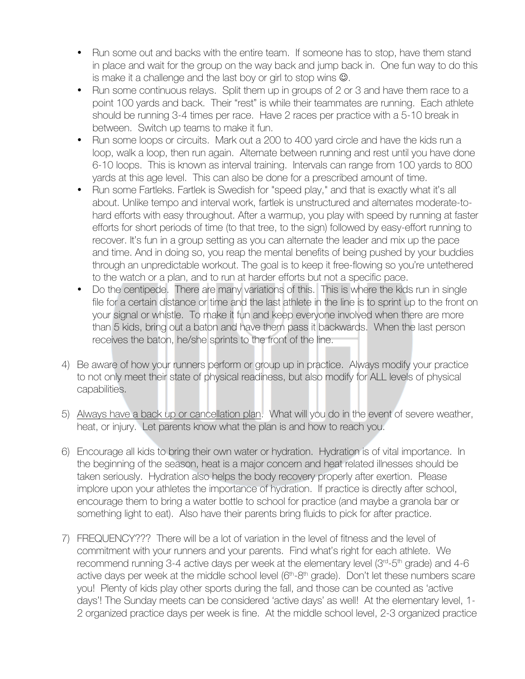- Run some out and backs with the entire team. If someone has to stop, have them stand in place and wait for the group on the way back and jump back in. One fun way to do this is make it a challenge and the last boy or girl to stop wins  $\odot$ .
- Run some continuous relays. Split them up in groups of 2 or 3 and have them race to a point 100 yards and back. Their "rest" is while their teammates are running. Each athlete should be running 3-4 times per race. Have 2 races per practice with a 5-10 break in between. Switch up teams to make it fun.
- Run some loops or circuits. Mark out a 200 to 400 yard circle and have the kids run a loop, walk a loop, then run again. Alternate between running and rest until you have done 6-10 loops. This is known as interval training. Intervals can range from 100 yards to 800 yards at this age level. This can also be done for a prescribed amount of time.
- Run some Fartleks. Fartlek is Swedish for "speed play," and that is exactly what it's all about. Unlike tempo and interval work, fartlek is unstructured and alternates moderate-tohard efforts with easy throughout. After a warmup, you play with speed by running at faster efforts for short periods of time (to that tree, to the sign) followed by easy-effort running to recover. It's fun in a group setting as you can alternate the leader and mix up the pace and time. And in doing so, you reap the mental benefits of being pushed by your buddies through an unpredictable workout. The goal is to keep it free-flowing so you're untethered to the watch or a plan, and to run at harder efforts but not a specific pace.
- Do the centipede. There are many variations of this. This is where the kids run in single file for a certain distance or time and the last athlete in the line is to sprint up to the front on your signal or whistle. To make it fun and keep everyone involved when there are more than 5 kids, bring out a baton and have them pass it backwards. When the last person receives the baton, he/she sprints to the front of the line.
- 4) Be aware of how your runners perform or group up in practice. Always modify your practice to not only meet their state of physical readiness, but also modify for ALL levels of physical capabilities.
- 5) Always have a back up or cancellation plan. What will you do in the event of severe weather, heat, or injury. Let parents know what the plan is and how to reach you.
- 6) Encourage all kids to bring their own water or hydration. Hydration is of vital importance. In the beginning of the season, heat is a major concern and heat related illnesses should be taken seriously. Hydration also helps the body recovery properly after exertion. Please implore upon your athletes the importance of hydration. If practice is directly after school, encourage them to bring a water bottle to school for practice (and maybe a granola bar or something light to eat). Also have their parents bring fluids to pick for after practice.
- 7) FREQUENCY??? There will be a lot of variation in the level of fitness and the level of commitment with your runners and your parents. Find what's right for each athlete. We recommend running 3-4 active days per week at the elementary level ( $3<sup>rd</sup>$ - $5<sup>th</sup>$  grade) and 4-6 active days per week at the middle school level  $(6<sup>th</sup>-8<sup>th</sup>)$  grade). Don't let these numbers scare you! Plenty of kids play other sports during the fall, and those can be counted as 'active days'! The Sunday meets can be considered 'active days' as well! At the elementary level, 1- 2 organized practice days per week is fine. At the middle school level, 2-3 organized practice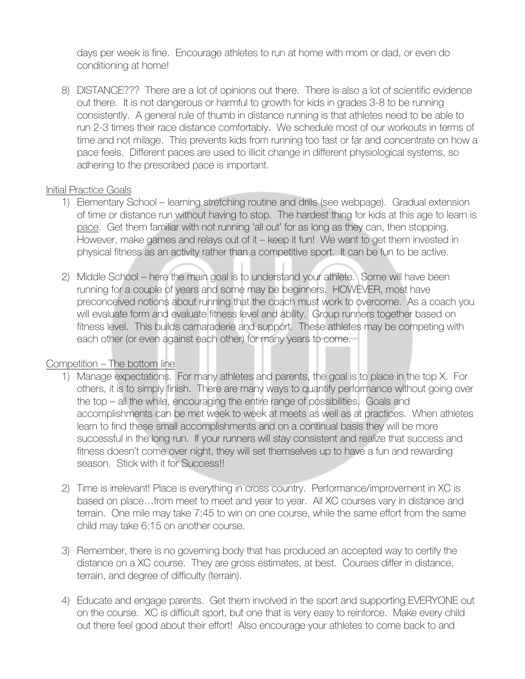days per week is fine. Encourage athletes to run at home with mom or dad, or even do conditioning at home!

8) DISTANCE??? There are a lot of opinions out there. There is also a lot of scientific evidence out there. It is not dangerous or harmful to growth for kids in grades 3-8 to be running consistently. A general rule of thumb in distance running is that athletes need to be able to run 2-3 times their race distance comfortably. We schedule most of our workouts in terms of time and not milage. This prevents kids from running too fast or far and concentrate on how a pace feels. Different paces are used to illicit change in different physiological systems, so adhering to the prescribed pace is important.

#### Initial Practice Goals

- 1) Elementary School learning stretching routine and drills (see webpage). Gradual extension of time or distance run without having to stop. The hardest thing for kids at this age to learn is pace. Get them familiar with not running 'all out' for as long as they can, then stopping. However, make games and relays out of it – keep it fun! We want to get them invested in physical fitness as an activity rather than a competitive sport. It can be fun to be active.
- 2) Middle School here the main goal is to understand your athlete. Some will have been running for a couple of years and some may be beginners. HOWEVER, most have preconceived notions about running that the coach must work to overcome. As a coach you will evaluate form and evaluate fitness level and ability. Group runners together based on fitness level. This builds camaraderie and support. These athletes may be competing with each other (or even against each other) for many years to come.

# Competition – The bottom line

- 1) Manage expectations. For many athletes and parents, the goal is to place in the top X. For others, it is to simply finish. There are many ways to quantify performance without going over the top – all the while, encouraging the entire range of possibilities. Goals and accomplishments can be met week to week at meets as well as at practices. When athletes learn to find these small accomplishments and on a continual basis they will be more successful in the long run. If your runners will stay consistent and realize that success and fitness doesn't come over night, they will set themselves up to have a fun and rewarding season. Stick with it for Success!!
- 2) Time is irrelevant! Place is everything in cross country. Performance/improvement in XC is based on place…from meet to meet and year to year. All XC courses vary in distance and terrain. One mile may take 7:45 to win on one course, while the same effort from the same child may take 6:15 on another course.
- 3) Remember, there is no governing body that has produced an accepted way to certify the distance on a XC course. They are gross estimates, at best. Courses differ in distance, terrain, and degree of difficulty (terrain).
- 4) Educate and engage parents. Get them involved in the sport and supporting EVERYONE out on the course. XC is difficult sport, but one that is very easy to reinforce. Make every child out there feel good about their effort! Also encourage your athletes to come back to and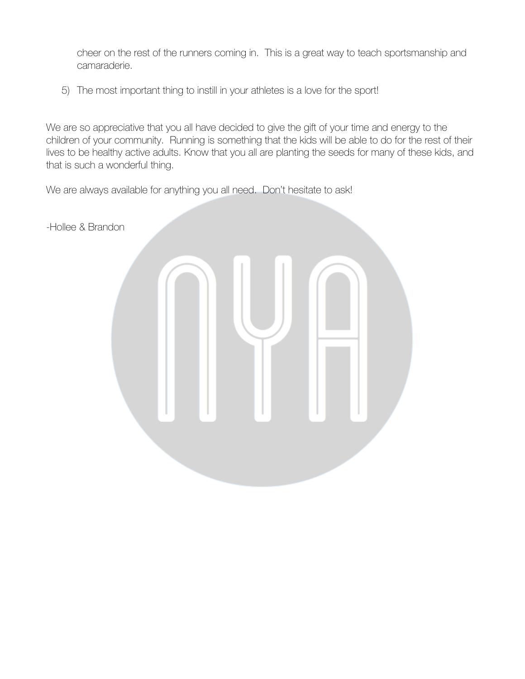cheer on the rest of the runners coming in. This is a great way to teach sportsmanship and camaraderie.

5) The most important thing to instill in your athletes is a love for the sport!

We are so appreciative that you all have decided to give the gift of your time and energy to the children of your community. Running is something that the kids will be able to do for the rest of their lives to be healthy active adults. Know that you all are planting the seeds for many of these kids, and that is such a wonderful thing.

We are always available for anything you all need. Don't hesitate to ask!

-Hollee & Brandon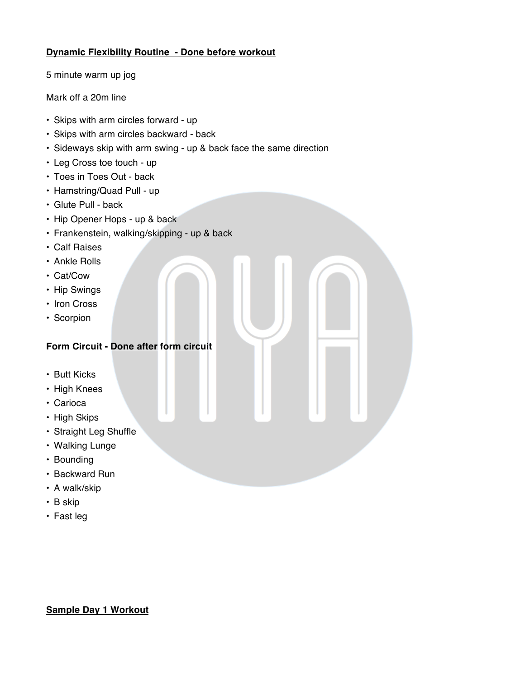#### **Dynamic Flexibility Routine - Done before workout**

5 minute warm up jog

Mark off a 20m line

- Skips with arm circles forward up
- Skips with arm circles backward back
- Sideways skip with arm swing up & back face the same direction
- Leg Cross toe touch up
- Toes in Toes Out back
- Hamstring/Quad Pull up
- Glute Pull back
- Hip Opener Hops up & back
- Frankenstein, walking/skipping up & back
- Calf Raises
- Ankle Rolls
- Cat/Cow
- Hip Swings
- Iron Cross
- Scorpion

### **Form Circuit - Done after form circuit**

- Butt Kicks
- High Knees
- Carioca
- High Skips
- Straight Leg Shuffle
- Walking Lunge
- Bounding
- Backward Run
- A walk/skip
- B skip
- Fast leg

#### **Sample Day 1 Workout**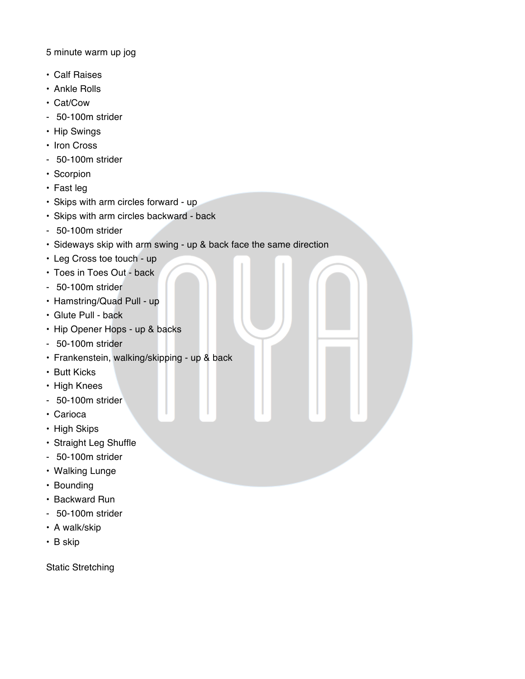5 minute warm up jog

- Calf Raises
- Ankle Rolls
- Cat/Cow
- 50-100m strider
- Hip Swings
- Iron Cross
- 50-100m strider
- Scorpion
- Fast leg
- Skips with arm circles forward up
- Skips with arm circles backward back
- 50-100m strider
- Sideways skip with arm swing up & back face the same direction
- Leg Cross toe touch up
- Toes in Toes Out back
- 50-100m strider
- Hamstring/Quad Pull up
- Glute Pull back
- Hip Opener Hops up & backs
- 50-100m strider
- Frankenstein, walking/skipping up & back
- Butt Kicks
- High Knees
- 50-100m strider
- Carioca
- High Skips
- Straight Leg Shuffle
- 50-100m strider
- Walking Lunge
- Bounding
- Backward Run
- 50-100m strider
- A walk/skip
- B skip

Static Stretching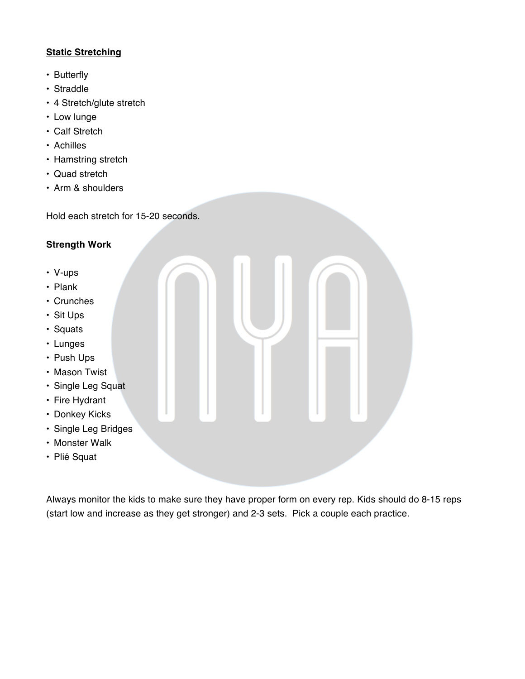## **Static Stretching**

- Butterfly
- Straddle
- 4 Stretch/glute stretch
- Low lunge
- Calf Stretch
- Achilles
- Hamstring stretch
- Quad stretch
- Arm & shoulders

Hold each stretch for 15-20 seconds.

#### **Strength Work**

- V-ups
- Plank
- Crunches
- Sit Ups
- Squats
- Lunges
- Push Ups
- Mason Twist
- Single Leg Squat
- Fire Hydrant
- Donkey Kicks
- Single Leg Bridges
- Monster Walk
- Plié Squat

Always monitor the kids to make sure they have proper form on every rep. Kids should do 8-15 reps (start low and increase as they get stronger) and 2-3 sets. Pick a couple each practice.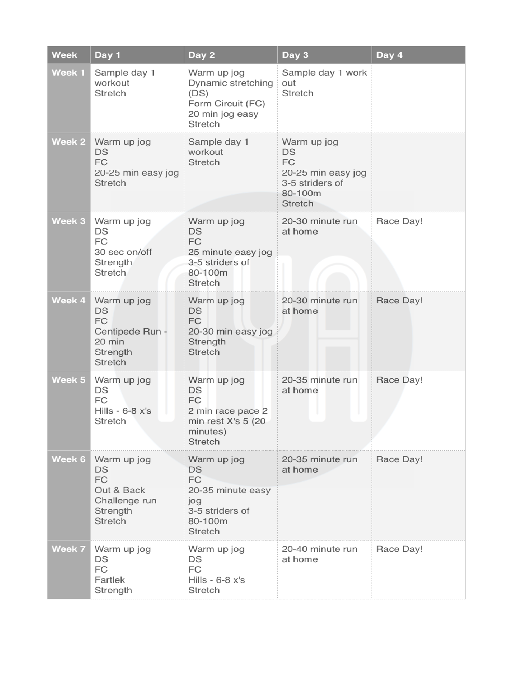| <b>Week</b> | Day 1                                                                                | Day 2                                                                                               | Day 3                                                                                  | Day 4     |
|-------------|--------------------------------------------------------------------------------------|-----------------------------------------------------------------------------------------------------|----------------------------------------------------------------------------------------|-----------|
| Week 1      | Sample day 1<br>workout<br>Stretch                                                   | Warm up jog<br>Dynamic stretching<br>(DS)<br>Form Circuit (FC)<br>20 min jog easy<br>Stretch        | Sample day 1 work<br>out<br>Stretch                                                    |           |
| Week 2      | Warm up jog<br>DS<br>FC<br>20-25 min easy jog<br>Stretch                             | Sample day 1<br>workout<br><b>Stretch</b>                                                           | Warm up jog<br>DS<br>FC<br>20-25 min easy jog<br>3-5 striders of<br>80-100m<br>Stretch |           |
| Week 3      | Warm up jog<br>DS<br><b>FC</b><br>30 sec on/off<br>Strength<br><b>Stretch</b>        | Warm up jog<br>DS<br><b>FC</b><br>25 minute easy jog<br>3-5 striders of<br>80-100m<br>Stretch       | 20-30 minute run<br>at home                                                            | Race Day! |
| Week 4      | Warm up jog<br>DS<br>FC<br>Centipede Run -<br>20 min<br>Strength<br>Stretch          | Warm up jog<br><b>DS</b><br><b>FC</b><br>20-30 min easy jog<br>Strength<br><b>Stretch</b>           | 20-30 minute run<br>at home                                                            | Race Day! |
| Week 5      | Warm up jog<br>DS<br><b>FC</b><br>Hills - $6-8$ $x's$<br>Stretch                     | Warm up jog<br>DS<br>FC<br>2 min race pace 2<br>min rest X's 5 (20<br>minutes)<br><b>Stretch</b>    | 20-35 minute run<br>at home                                                            | Race Day! |
| Week 6      | Warm up jog<br>DS<br><b>FC</b><br>Out & Back<br>Challenge run<br>Strength<br>Stretch | Warm up jog<br><b>DS</b><br>FC<br>20-35 minute easy<br>jog<br>3-5 striders of<br>80-100m<br>Stretch | 20-35 minute run<br>at home                                                            | Race Day! |
| Week 7      | Warm up jog<br>DS<br>FC<br>Fartlek<br>Strength                                       | Warm up jog<br>DS<br>FC<br>Hills - $6-8$ $x's$<br>Stretch                                           | 20-40 minute run<br>at home                                                            | Race Day! |